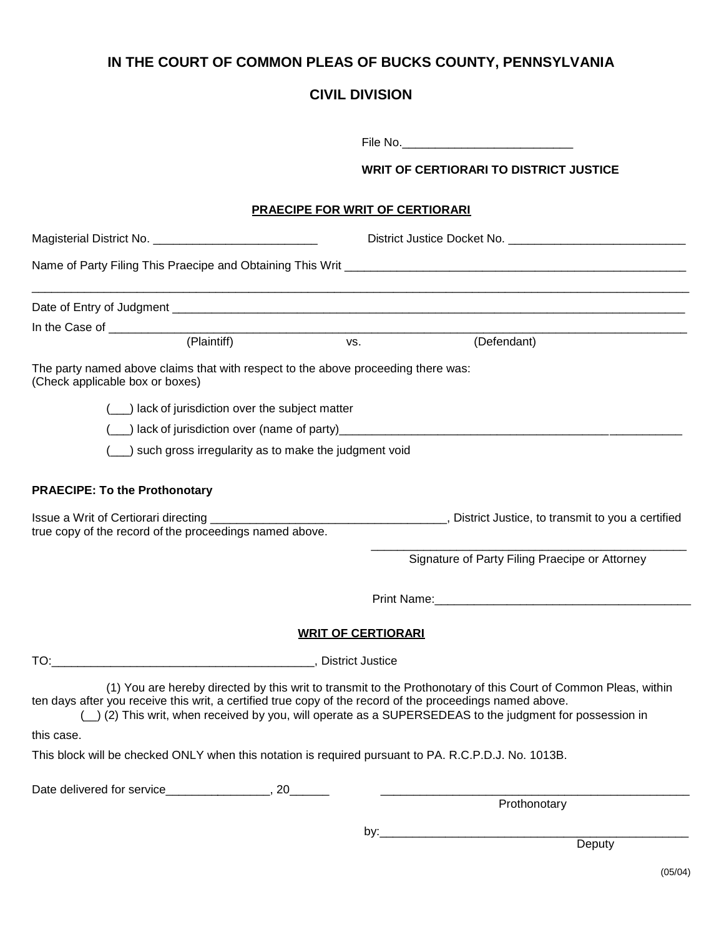## **IN THE COURT OF COMMON PLEAS OF BUCKS COUNTY, PENNSYLVANIA**

## **CIVIL DIVISION**

|                                      |                                                                                   |                                        | <b>WRIT OF CERTIORARI TO DISTRICT JUSTICE</b>                                                                                                                                                                                                                                                                                           |  |  |
|--------------------------------------|-----------------------------------------------------------------------------------|----------------------------------------|-----------------------------------------------------------------------------------------------------------------------------------------------------------------------------------------------------------------------------------------------------------------------------------------------------------------------------------------|--|--|
|                                      |                                                                                   | <b>PRAECIPE FOR WRIT OF CERTIORARI</b> |                                                                                                                                                                                                                                                                                                                                         |  |  |
|                                      |                                                                                   |                                        |                                                                                                                                                                                                                                                                                                                                         |  |  |
|                                      |                                                                                   |                                        |                                                                                                                                                                                                                                                                                                                                         |  |  |
|                                      |                                                                                   |                                        |                                                                                                                                                                                                                                                                                                                                         |  |  |
|                                      |                                                                                   |                                        |                                                                                                                                                                                                                                                                                                                                         |  |  |
|                                      | (Plaintiff)                                                                       | VS.                                    | (Defendant)                                                                                                                                                                                                                                                                                                                             |  |  |
| (Check applicable box or boxes)      | The party named above claims that with respect to the above proceeding there was: |                                        |                                                                                                                                                                                                                                                                                                                                         |  |  |
|                                      | ___) lack of jurisdiction over the subject matter                                 |                                        |                                                                                                                                                                                                                                                                                                                                         |  |  |
|                                      |                                                                                   |                                        |                                                                                                                                                                                                                                                                                                                                         |  |  |
|                                      | ) such gross irregularity as to make the judgment void                            |                                        |                                                                                                                                                                                                                                                                                                                                         |  |  |
|                                      |                                                                                   |                                        |                                                                                                                                                                                                                                                                                                                                         |  |  |
| <b>PRAECIPE: To the Prothonotary</b> |                                                                                   |                                        |                                                                                                                                                                                                                                                                                                                                         |  |  |
|                                      | true copy of the record of the proceedings named above.                           |                                        |                                                                                                                                                                                                                                                                                                                                         |  |  |
|                                      |                                                                                   |                                        | Signature of Party Filing Praecipe or Attorney                                                                                                                                                                                                                                                                                          |  |  |
|                                      |                                                                                   |                                        |                                                                                                                                                                                                                                                                                                                                         |  |  |
|                                      |                                                                                   | <b>WRIT OF CERTIORARI</b>              |                                                                                                                                                                                                                                                                                                                                         |  |  |
|                                      |                                                                                   |                                        |                                                                                                                                                                                                                                                                                                                                         |  |  |
|                                      |                                                                                   |                                        | (1) You are hereby directed by this writ to transmit to the Prothonotary of this Court of Common Pleas, within<br>ten days after you receive this writ, a certified true copy of the record of the proceedings named above.<br>(_) (2) This writ, when received by you, will operate as a SUPERSEDEAS to the judgment for possession in |  |  |
| this case.                           |                                                                                   |                                        |                                                                                                                                                                                                                                                                                                                                         |  |  |
|                                      |                                                                                   |                                        | This block will be checked ONLY when this notation is required pursuant to PA. R.C.P.D.J. No. 1013B.                                                                                                                                                                                                                                    |  |  |
|                                      |                                                                                   |                                        |                                                                                                                                                                                                                                                                                                                                         |  |  |
|                                      |                                                                                   |                                        | Prothonotary                                                                                                                                                                                                                                                                                                                            |  |  |
|                                      |                                                                                   |                                        |                                                                                                                                                                                                                                                                                                                                         |  |  |